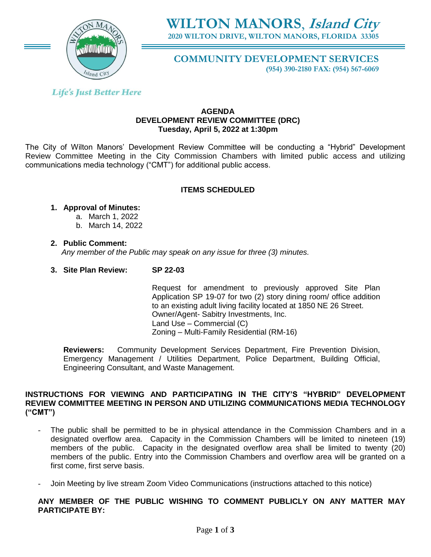

# **WILTON MANORS**, **Island City 2020 WILTON DRIVE, WILTON MANORS, FLORIDA 33305**

**COMMUNITY DEVELOPMENT SERVICES**

**(954) 390-2180 FAX: (954) 567-6069**

**Life's Just Better Here** 

### **AGENDA DEVELOPMENT REVIEW COMMITTEE (DRC) Tuesday, April 5, 2022 at 1:30pm**

The City of Wilton Manors' Development Review Committee will be conducting a "Hybrid" Development Review Committee Meeting in the City Commission Chambers with limited public access and utilizing communications media technology ("CMT") for additional public access.

## **ITEMS SCHEDULED**

# **1. Approval of Minutes:**

- a. March 1, 2022
	- b. March 14, 2022

## **2. Public Comment:**

 *Any member of the Public may speak on any issue for three (3) minutes.*

# **3. Site Plan Review: SP 22-03**

Request for amendment to previously approved Site Plan Application SP 19-07 for two (2) story dining room/ office addition to an existing adult living facility located at 1850 NE 26 Street. Owner/Agent- Sabitry Investments, Inc. Land Use – Commercial (C) Zoning – Multi-Family Residential (RM-16)

**Reviewers:** Community Development Services Department, Fire Prevention Division, Emergency Management / Utilities Department, Police Department, Building Official, Engineering Consultant, and Waste Management.

## **INSTRUCTIONS FOR VIEWING AND PARTICIPATING IN THE CITY'S "HYBRID" DEVELOPMENT REVIEW COMMITTEE MEETING IN PERSON AND UTILIZING COMMUNICATIONS MEDIA TECHNOLOGY ("CMT")**

- The public shall be permitted to be in physical attendance in the Commission Chambers and in a designated overflow area. Capacity in the Commission Chambers will be limited to nineteen (19) members of the public. Capacity in the designated overflow area shall be limited to twenty (20) members of the public. Entry into the Commission Chambers and overflow area will be granted on a first come, first serve basis.
- Join Meeting by live stream Zoom Video Communications (instructions attached to this notice)

**ANY MEMBER OF THE PUBLIC WISHING TO COMMENT PUBLICLY ON ANY MATTER MAY PARTICIPATE BY:**